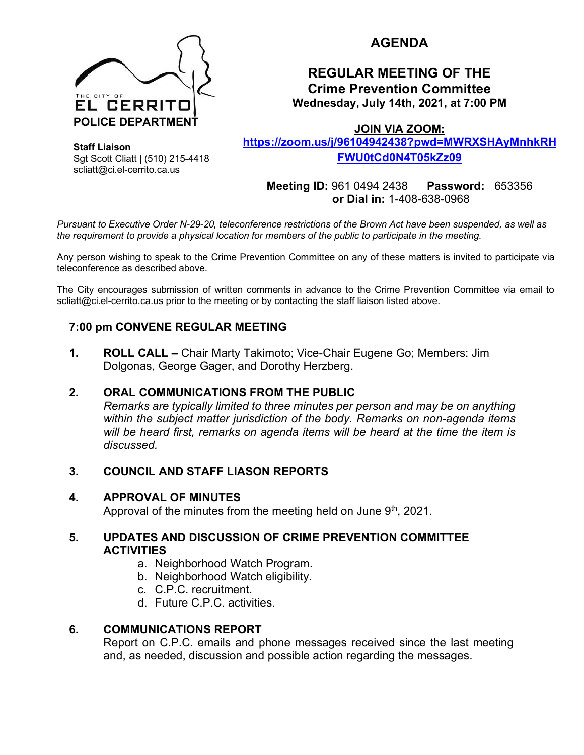

# **AGENDA**

## **REGULAR MEETING OF THE Crime Prevention Committee Wednesday, July 14th, 2021, at 7:00 PM**

**JOIN VIA ZOOM:** 

**https://zoom.us/j/96104942438?pwd=MWRXSHAyMnhkRH FWU0tCd0N4T05kZz09**

> **Meeting ID:** 961 0494 2438 **Password:** 653356 **or Dial in:** 1-408-638-0968

*Pursuant to Executive Order N-29-20, teleconference restrictions of the Brown Act have been suspended, as well as the requirement to provide a physical location for members of the public to participate in the meeting.*

Any person wishing to speak to the Crime Prevention Committee on any of these matters is invited to participate via teleconference as described above.

The City encourages submission of written comments in advance to the Crime Prevention Committee via email to scliatt@ci.el-cerrito.ca.us prior to the meeting or by contacting the staff liaison listed above.

### **7:00 pm CONVENE REGULAR MEETING**

**1. ROLL CALL –** Chair Marty Takimoto; Vice-Chair Eugene Go; Members: Jim Dolgonas, George Gager, and Dorothy Herzberg.

#### **2. ORAL COMMUNICATIONS FROM THE PUBLIC**

*Remarks are typically limited to three minutes per person and may be on anything within the subject matter jurisdiction of the body. Remarks on non-agenda items will be heard first, remarks on agenda items will be heard at the time the item is discussed.* 

#### **3. COUNCIL AND STAFF LIASON REPORTS**

#### **4. APPROVAL OF MINUTES**

Approval of the minutes from the meeting held on June  $9<sup>th</sup>$ , 2021.

#### **5. UPDATES AND DISCUSSION OF CRIME PREVENTION COMMITTEE ACTIVITIES**

- a. Neighborhood Watch Program.
- b. Neighborhood Watch eligibility.
- c. C.P.C. recruitment.
- d. Future C.P.C. activities.

#### **6. COMMUNICATIONS REPORT**

Report on C.P.C. emails and phone messages received since the last meeting and, as needed, discussion and possible action regarding the messages.

**Staff Liaison** Sgt Scott Cliatt | (510) 215-4418 scliatt@ci.el-cerrito.ca.us